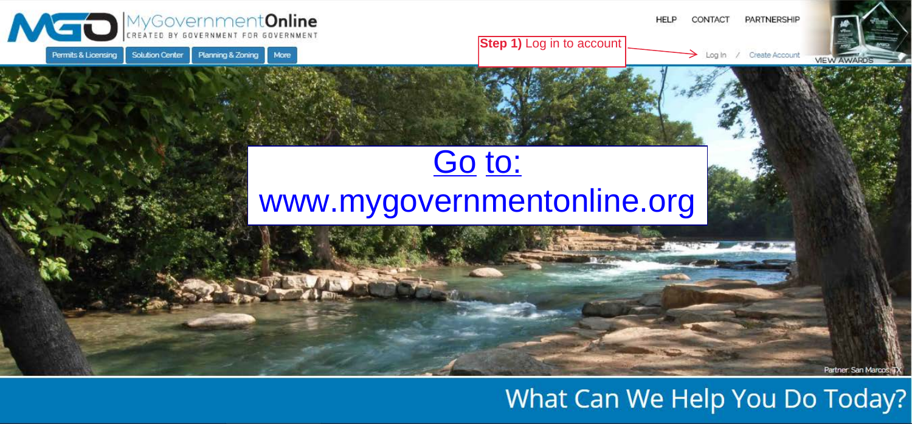

## What Can We Help You Do Today?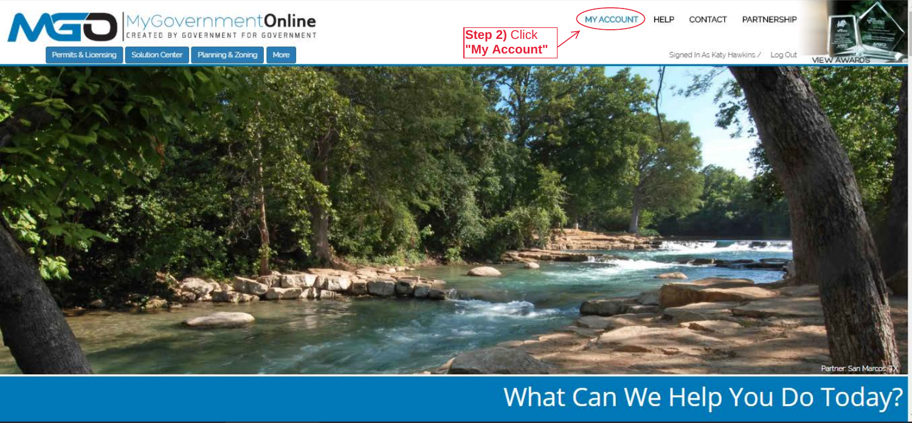

## What Can We Help You Do Today?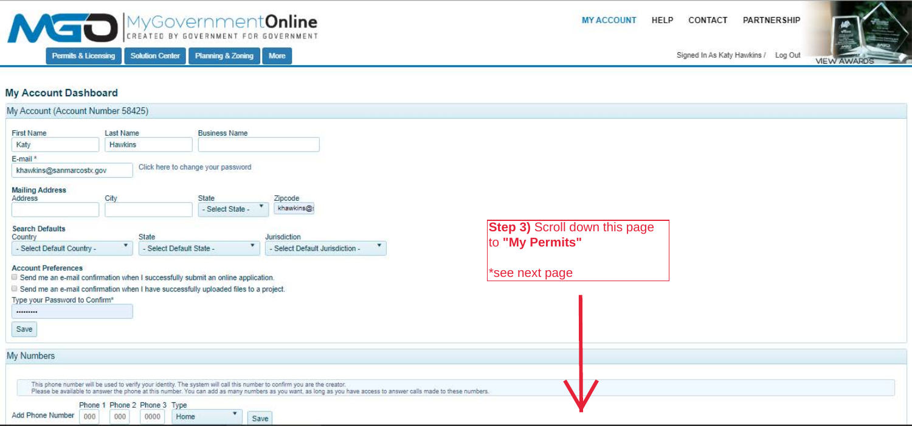| MYGOVERNMENT FOR GOVERNMENT                                                                                    |                       |                                      |                                         |                                                                                                                          |                                                                                                                                                                    | <b>MY ACCOUNT</b> | HELP | CONTACT | <b>PARTNERSHIP</b>                  |                    |
|----------------------------------------------------------------------------------------------------------------|-----------------------|--------------------------------------|-----------------------------------------|--------------------------------------------------------------------------------------------------------------------------|--------------------------------------------------------------------------------------------------------------------------------------------------------------------|-------------------|------|---------|-------------------------------------|--------------------|
| Permits & Licensing                                                                                            |                       | <b>Solution Center</b>               | <b>Planning &amp; Zoning</b>            | <b>More</b>                                                                                                              |                                                                                                                                                                    |                   |      |         | Signed In As Katy Hawkins / Log Out | <b>VIEW AWARDS</b> |
| <b>My Account Dashboard</b>                                                                                    |                       |                                      |                                         |                                                                                                                          |                                                                                                                                                                    |                   |      |         |                                     |                    |
| My Account (Account Number 58425)                                                                              |                       |                                      |                                         |                                                                                                                          |                                                                                                                                                                    |                   |      |         |                                     |                    |
| <b>First Name</b>                                                                                              | Last Name             |                                      | <b>Business Name</b>                    |                                                                                                                          |                                                                                                                                                                    |                   |      |         |                                     |                    |
| Katy                                                                                                           | Hawkins               |                                      |                                         |                                                                                                                          |                                                                                                                                                                    |                   |      |         |                                     |                    |
| E-mail*                                                                                                        |                       |                                      |                                         |                                                                                                                          |                                                                                                                                                                    |                   |      |         |                                     |                    |
| khawkins@sanmarcostx.gov                                                                                       |                       |                                      | Click here to change your password      |                                                                                                                          |                                                                                                                                                                    |                   |      |         |                                     |                    |
| <b>Mailing Address</b><br>Address                                                                              | City                  |                                      | State                                   | Zipcode                                                                                                                  |                                                                                                                                                                    |                   |      |         |                                     |                    |
|                                                                                                                |                       |                                      | - Select State -                        | ▼.<br>khawkins@:                                                                                                         |                                                                                                                                                                    |                   |      |         |                                     |                    |
| <b>Search Defaults</b><br>Country                                                                              | Jurisdiction<br>State |                                      |                                         |                                                                                                                          | <b>Step 3)</b> Scroll down this page                                                                                                                               |                   |      |         |                                     |                    |
| - Select Default Country -                                                                                     | ×                     |                                      | ×<br>- Select Default State -           | - Select Default Jurisdiction -                                                                                          |                                                                                                                                                                    | to "My Permits"   |      |         |                                     |                    |
| <b>Account Preferences</b><br>Send me an e-mail confirmation when I successfully submit an online application. |                       |                                      |                                         |                                                                                                                          |                                                                                                                                                                    | *see next page    |      |         |                                     |                    |
| Send me an e-mail confirmation when I have successfully uploaded files to a project.                           |                       |                                      |                                         |                                                                                                                          |                                                                                                                                                                    |                   |      |         |                                     |                    |
| Type your Password to Confirm*                                                                                 |                       |                                      |                                         |                                                                                                                          |                                                                                                                                                                    |                   |      |         |                                     |                    |
|                                                                                                                |                       |                                      |                                         |                                                                                                                          |                                                                                                                                                                    |                   |      |         |                                     |                    |
| Save                                                                                                           |                       |                                      |                                         |                                                                                                                          |                                                                                                                                                                    |                   |      |         |                                     |                    |
| My Numbers                                                                                                     |                       |                                      |                                         |                                                                                                                          |                                                                                                                                                                    |                   |      |         |                                     |                    |
|                                                                                                                |                       |                                      |                                         |                                                                                                                          |                                                                                                                                                                    |                   |      |         |                                     |                    |
|                                                                                                                |                       |                                      |                                         | This phone number will be used to verify your identity. The system will call this number to confirm you are the creator. | Please be available to answer the phone at this number. You can add as many numbers as you want, as long as you have access to answer calls made to these numbers. |                   |      |         |                                     |                    |
| Add Phone Number<br>000                                                                                        | 000                   | Phone 1 Phone 2 Phone 3 Type<br>0000 | $\overline{\mathbf{v}}$<br>Home<br>Save |                                                                                                                          |                                                                                                                                                                    |                   |      |         |                                     |                    |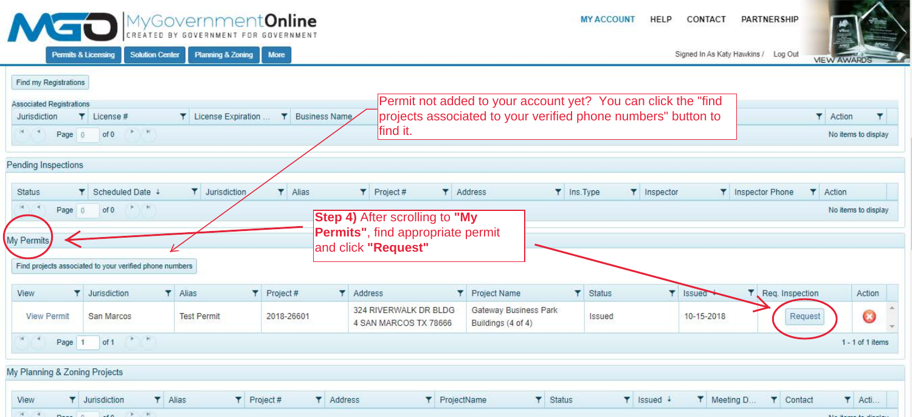|                                          |                                                                                      | MyGovernment <b>Online</b><br>CREATED BY GOVERNMENT FOR | GOVERNMENT  |                                                                 |                                             | <b>MY ACCOUNT</b><br>HELP<br>CONTACT                          | PARTNERSHIP                                                  |  |  |  |  |
|------------------------------------------|--------------------------------------------------------------------------------------|---------------------------------------------------------|-------------|-----------------------------------------------------------------|---------------------------------------------|---------------------------------------------------------------|--------------------------------------------------------------|--|--|--|--|
|                                          | <b>Solution Center</b><br><b>Permits &amp; Licensing</b>                             | <b>Planning &amp; Zoning</b>                            | More        |                                                                 |                                             |                                                               | Signed In As Katy Hawkins / Log Out<br><b>VIEW AWARDS</b>    |  |  |  |  |
| Find my Registrations                    |                                                                                      |                                                         |             |                                                                 |                                             |                                                               |                                                              |  |  |  |  |
| <b>Associated Registrations</b>          |                                                                                      |                                                         |             |                                                                 |                                             | Permit not added to your account yet? You can click the "find |                                                              |  |  |  |  |
| Jurisdiction                             | Y License #                                                                          | T License Expiration  T Business Name                   |             |                                                                 |                                             | projects associated to your verified phone numbers" button to | <b>T</b> Action<br>×.                                        |  |  |  |  |
| find it.<br>河川 1<br>光图<br>Page 0<br>of 0 |                                                                                      |                                                         |             |                                                                 |                                             |                                                               |                                                              |  |  |  |  |
| Pending Inspections                      |                                                                                      |                                                         |             |                                                                 |                                             |                                                               |                                                              |  |  |  |  |
|                                          |                                                                                      |                                                         |             |                                                                 |                                             |                                                               |                                                              |  |  |  |  |
| <b>Status</b>                            | Scheduled Date ↓<br>v                                                                | <b>T</b> Jurisdiction                                   | 74<br>Alias | <b>T</b> Address<br>T Project#                                  | T Ins.Type                                  | T Inspector                                                   | <b>Y</b> Inspector Phone<br><b>T</b> Action                  |  |  |  |  |
| H.                                       | 天阳<br>of 0<br>Page 0<br>No items to display<br><b>Step 4)</b> After scrolling to "My |                                                         |             |                                                                 |                                             |                                                               |                                                              |  |  |  |  |
| My Permits                               |                                                                                      |                                                         |             | <b>Permits", find appropriate permit</b><br>and click "Request" |                                             |                                                               |                                                              |  |  |  |  |
|                                          | Find projects associated to your verified phone numbers                              |                                                         |             |                                                                 |                                             |                                                               |                                                              |  |  |  |  |
| View<br>Y                                | Jurisdiction                                                                         | $7$ Alias                                               | T Project#  | Y Address<br>T.                                                 | Project Name<br>۳                           | Ÿ.<br>Status<br>Issued                                        | $\overline{\mathbf{r}}$<br>Req. Inspection<br>Action         |  |  |  |  |
| <b>View Permit</b>                       | San Marcos                                                                           | <b>Test Permit</b>                                      | 2018-26601  | 324 RIVERWALK DR BLDG<br>4 SAN MARCOS TX 78666                  | Gateway Business Park<br>Buildings (4 of 4) | 10-15-2018<br>Issued                                          | Ø<br>Request                                                 |  |  |  |  |
| - 4<br>Page 1                            | $\mathbb{R}$ . If<br>of 1                                                            |                                                         |             |                                                                 |                                             |                                                               | 1 - 1 of 1 items                                             |  |  |  |  |
| My Planning & Zoning Projects            |                                                                                      |                                                         |             |                                                                 |                                             |                                                               |                                                              |  |  |  |  |
|                                          |                                                                                      |                                                         |             |                                                                 |                                             |                                                               |                                                              |  |  |  |  |
| View                                     | $\n  Alias\n$<br><b>T</b> Jurisdiction                                               | T Project#                                              |             | Y Address<br>T ProjectName                                      | $\mathbf{r}$<br><b>Status</b>               | $\blacktriangleright$ Issued $\downarrow$                     | Y Meeting D<br>$\blacktriangledown$ Acti<br><b>T</b> Contact |  |  |  |  |
| $-4.1$                                   | $\rightarrow$<br><b>PI</b>                                                           |                                                         |             |                                                                 |                                             |                                                               |                                                              |  |  |  |  |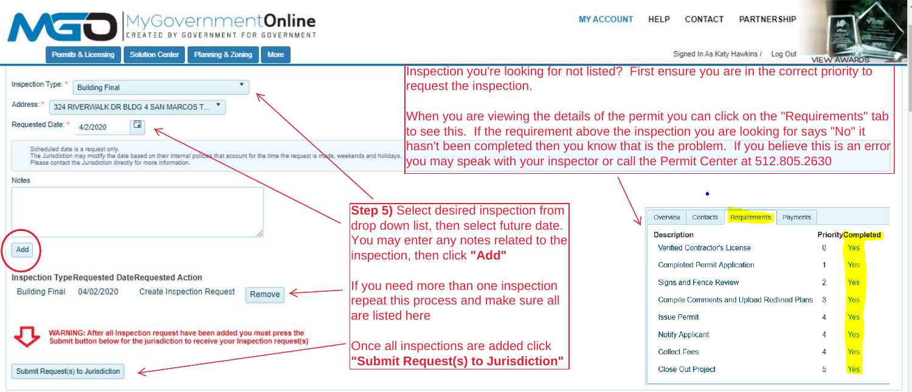